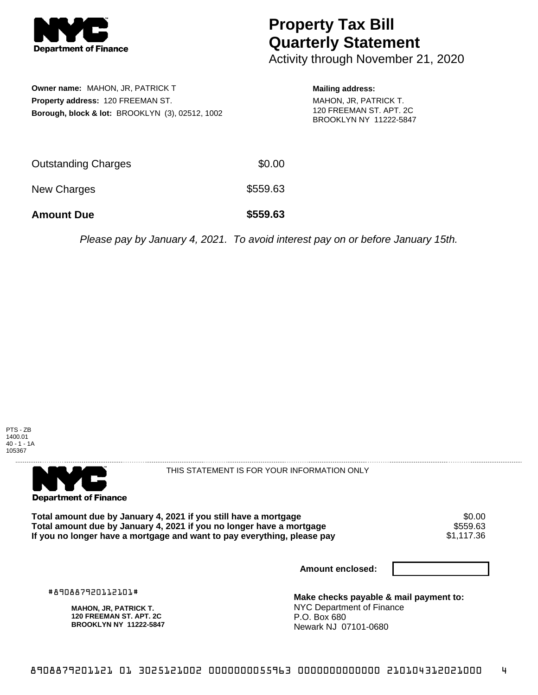

## **Property Tax Bill Quarterly Statement**

Activity through November 21, 2020

**Owner name:** MAHON, JR, PATRICK T **Property address:** 120 FREEMAN ST. **Borough, block & lot:** BROOKLYN (3), 02512, 1002

**Mailing address:** MAHON, JR, PATRICK T. 120 FREEMAN ST. APT. 2C BROOKLYN NY 11222-5847

| <b>Amount Due</b>   | \$559.63 |
|---------------------|----------|
| New Charges         | \$559.63 |
| Outstanding Charges | \$0.00   |

Please pay by January 4, 2021. To avoid interest pay on or before January 15th.





THIS STATEMENT IS FOR YOUR INFORMATION ONLY

Total amount due by January 4, 2021 if you still have a mortgage  $$0.00$ <br>Total amount due by January 4, 2021 if you no longer have a mortgage  $$559.63$ Total amount due by January 4, 2021 if you no longer have a mortgage **\$559.63** \$559.63<br>If you no longer have a mortgage and want to pay everything, please pay If you no longer have a mortgage and want to pay everything, please pay

**Amount enclosed:**

#890887920112101#

**MAHON, JR, PATRICK T. 120 FREEMAN ST. APT. 2C BROOKLYN NY 11222-5847**

**Make checks payable & mail payment to:** NYC Department of Finance P.O. Box 680 Newark NJ 07101-0680